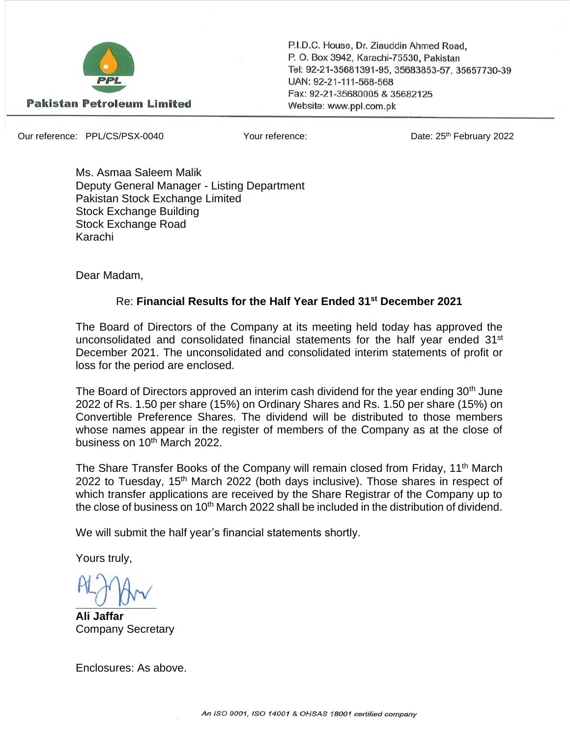

P.I.D.C. House, Dr. Ziauddin Ahmed Road. P. O. Box 3942, Karachi-75530, Pakistan Tel: 92-21-35681391-95, 35683853-57, 35657730-39 UAN: 92-21-111-568-568 Fax: 92-21-35680005 & 35682125 Website: www.ppl.com.pk

Our reference: PPL/CS/PSX-0040 Your reference: Date: 25th February 2022

Ms. Asmaa Saleem Malik Deputy General Manager - Listing Department Pakistan Stock Exchange Limited Stock Exchange Building Stock Exchange Road Karachi

Dear Madam,

## Re: **Financial Results for the Half Year Ended 31st December 2021**

The Board of Directors of the Company at its meeting held today has approved the unconsolidated and consolidated financial statements for the half year ended  $31<sup>st</sup>$ December 2021. The unconsolidated and consolidated interim statements of profit or loss for the period are enclosed.

The Board of Directors approved an interim cash dividend for the year ending 30<sup>th</sup> June 2022 of Rs. 1.50 per share (15%) on Ordinary Shares and Rs. 1.50 per share (15%) on Convertible Preference Shares. The dividend will be distributed to those members whose names appear in the register of members of the Company as at the close of business on 10<sup>th</sup> March 2022.

The Share Transfer Books of the Company will remain closed from Friday, 11<sup>th</sup> March 2022 to Tuesday, 15<sup>th</sup> March 2022 (both days inclusive). Those shares in respect of which transfer applications are received by the Share Registrar of the Company up to the close of business on 10<sup>th</sup> March 2022 shall be included in the distribution of dividend.

We will submit the half year's financial statements shortly.

Yours truly,

 $U$ 

**Ali Jaffar** Company Secretary

Enclosures: As above.